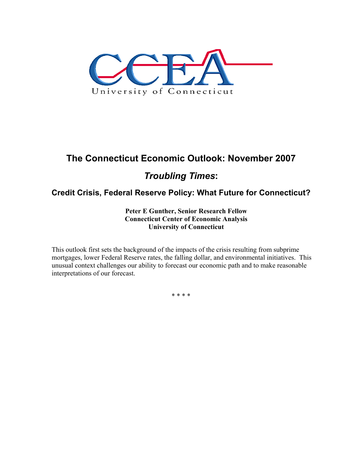

# **The Connecticut Economic Outlook: November 2007**  *Troubling Times***:**

## **Credit Crisis, Federal Reserve Policy: What Future for Connecticut?**

**Peter E Gunther, Senior Research Fellow Connecticut Center of Economic Analysis University of Connecticut** 

This outlook first sets the background of the impacts of the crisis resulting from subprime mortgages, lower Federal Reserve rates, the falling dollar, and environmental initiatives. This unusual context challenges our ability to forecast our economic path and to make reasonable interpretations of our forecast.

\* \* \* \*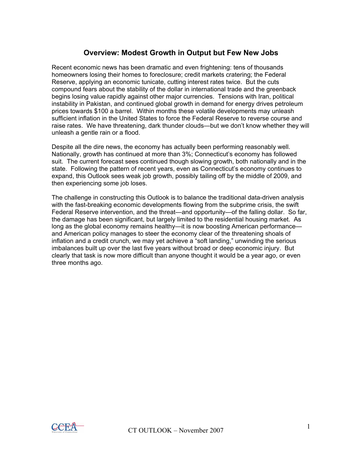### **Overview: Modest Growth in Output but Few New Jobs**

Recent economic news has been dramatic and even frightening: tens of thousands homeowners losing their homes to foreclosure; credit markets cratering; the Federal Reserve, applying an economic tunicate, cutting interest rates twice. But the cuts compound fears about the stability of the dollar in international trade and the greenback begins losing value rapidly against other major currencies. Tensions with Iran, political instability in Pakistan, and continued global growth in demand for energy drives petroleum prices towards \$100 a barrel. Within months these volatile developments may unleash sufficient inflation in the United States to force the Federal Reserve to reverse course and raise rates. We have threatening, dark thunder clouds—but we don't know whether they will unleash a gentle rain or a flood.

Despite all the dire news, the economy has actually been performing reasonably well. Nationally, growth has continued at more than 3%; Connecticut's economy has followed suit. The current forecast sees continued though slowing growth, both nationally and in the state. Following the pattern of recent years, even as Connecticut's economy continues to expand, this Outlook sees weak job growth, possibly tailing off by the middle of 2009, and then experiencing some job loses.

The challenge in constructing this Outlook is to balance the traditional data-driven analysis with the fast-breaking economic developments flowing from the subprime crisis, the swift Federal Reserve intervention, and the threat—and opportunity—of the falling dollar. So far, the damage has been significant, but largely limited to the residential housing market. As long as the global economy remains healthy—it is now boosting American performance and American policy manages to steer the economy clear of the threatening shoals of inflation and a credit crunch, we may yet achieve a "soft landing," unwinding the serious imbalances built up over the last five years without broad or deep economic injury. But clearly that task is now more difficult than anyone thought it would be a year ago, or even three months ago.

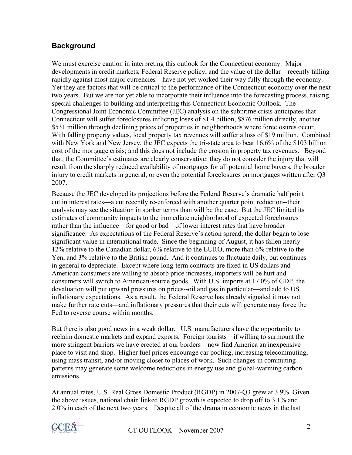## **Background**

We must exercise caution in interpreting this outlook for the Connecticut economy. Major developments in credit markets, Federal Reserve policy, and the value of the dollar—recently falling rapidly against most major currencies—have not yet worked their way fully through the economy. Yet they are factors that will be critical to the performance of the Connecticut economy over the next two years. But we are not yet able to incorporate their influence into the forecasting process, raising special challenges to building and interpreting this Connecticut Economic Outlook. The Congressional Joint Economic Committee (JEC) analysis on the subprime crisis anticipates that Connecticut will suffer foreclosures inflicting loses of \$1.4 billion, \$876 million directly, another \$531 million through declining prices of properties in neighborhoods where foreclosures occur. With falling property values, local property tax revenues will suffer a loss of \$19 million. Combined with New York and New Jersey, the JEC expects the tri-state area to bear 16.6% of the \$103 billion cost of the mortgage crisis; and this does not include the erosion in property tax revenues. Beyond that, the Committee's estimates are clearly conservative: they do not consider the injury that will result from the sharply reduced availability of mortgages for all potential home buyers, the broader injury to credit markets in general, or even the potential foreclosures on mortgages written after Q3 2007.

Because the JEC developed its projections before the Federal Reserve's dramatic half point cut in interest rates—a cut recently re-enforced with another quarter point reduction--their analysis may see the situation in starker terms than will be the case. But the JEC limited its estimates of community impacts to the immediate neighborhood of expected foreclosures rather than the influence—for good or bad—of lower interest rates that have broader significance. As expectations of the Federal Reserve's action spread, the dollar began to lose significant value in international trade. Since the beginning of August, it has fallen nearly 12% relative to the Canadian dollar, 6% relative to the EURO, more than 6% relative to the Yen, and 3% relative to the British pound. And it continues to fluctuate daily, but continues in general to depreciate. Except where long-term contracts are fixed in US dollars and American consumers are willing to absorb price increases, importers will be hurt and consumers will switch to American-source goods. With U.S. imports at 17.0% of GDP, the devaluation will put upward pressures on prices--oil and gas in particular—and add to US inflationary expectations. As a result, the Federal Reserve has already signaled it may not make further rate cuts—and inflationary pressures that their cuts will generate may force the Fed to reverse course within months.

But there is also good news in a weak dollar. U.S. manufacturers have the opportunity to reclaim domestic markets and expand exports. Foreign tourists—if willing to surmount the more stringent barriers we have erected at our borders—now find America an inexpensive place to visit and shop. Higher fuel prices encourage car pooling, increasing telecommuting, using mass transit, and/or moving closer to places of work. Such changes in commuting patterns may generate some welcome reductions in energy use and global-warming carbon emissions.

At annual rates, U.S. Real Gross Domestic Product (RGDP) in 2007-Q3 grew at 3.9%. Given the above issues, national chain linked RGDP growth is expected to drop off to 3.1% and 2.0% in each of the next two years. Despite all of the drama in economic news in the last

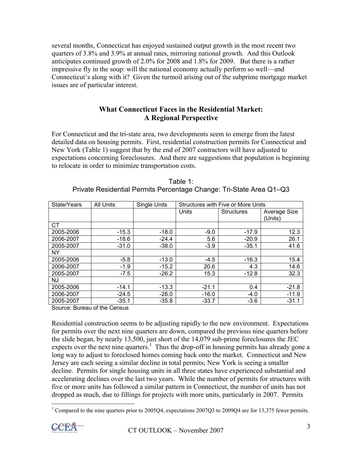several months, Connecticut has enjoyed sustained output growth in the most recent two quarters of 3.8% and 3.9% at annual rates, mirroring national growth. And this Outlook anticipates continued growth of 2.0% for 2008 and 1.8% for 2009. But there is a rather impressive fly in the soup: will the national economy actually perform so well—and Connecticut's along with it? Given the turmoil arising out of the subprime mortgage market issues are of particular interest.

#### **What Connecticut Faces in the Residential Market: A Regional Perspective**

For Connecticut and the tri-state area, two developments seem to emerge from the latest detailed data on housing permits. First, residential construction permits for Connecticut and New York (Table 1) suggest that by the end of 2007 contractors will have adjusted to expectations concerning foreclosures. And there are suggestions that population is beginning to relocate in order to minimize transportation costs.

| State/Years | <b>All Units</b> | <b>Single Units</b> | <b>Structures with Five or More Units</b> |                   |              |
|-------------|------------------|---------------------|-------------------------------------------|-------------------|--------------|
|             |                  |                     | Units                                     | <b>Structures</b> | Average Size |
|             |                  |                     |                                           |                   | (Units)      |
| СT          |                  |                     |                                           |                   |              |
| 2005-2006   | $-15.3$          | $-18.0$             | $-9.0$                                    | $-17.9$           | 12.3         |
| 2006-2007   | $-18.6$          | $-24.4$             | 5.6                                       | $-20.9$           | 26.1         |
| 2005-2007   | $-31.0$          | $-38.0$             | $-3.9$                                    | $-35.1$           | 41.6         |
| <b>NY</b>   |                  |                     |                                           |                   |              |
| 2005-2006   | $-5.8$           | $-13.0$             | $-4.5$                                    | $-16.3$           | 15.4         |
| 2006-2007   | $-1.9$           | $-15.2$             | 20.6                                      | 4.3               | 14.6         |
| 2005-2007   | $-7.5$           | $-26.2$             | 15.3                                      | $-12.8$           | 32.3         |
| NJ          |                  |                     |                                           |                   |              |
| 2005-2006   | $-14.1$          | $-13.3$             | $-21.1$                                   | 0.4               | $-21.8$      |
| 2006-2007   | $-24.5$          | $-26.0$             | $-16.0$                                   | $-4.0$            | $-11.9$      |
| 2005-2007   | $-35.1$          | $-35.8$             | $-33.7$                                   | $-3.6$            | $-31.1$      |

| Table 1:                                                            |  |
|---------------------------------------------------------------------|--|
| Private Residential Permits Percentage Change: Tri-State Area Q1-Q3 |  |

Source: Bureau of the Census

Residential construction seems to be adjusting rapidly to the new environment. Expectations for permits over the next nine quarters are down, compared the previous nine quarters before the slide began, by nearly 13,500, just short of the 14,079 sub-prime foreclosures the JEC expects over the next nine quarters.<sup>1</sup> Thus the drop-off in housing permits has already gone a long way to adjust to foreclosed homes coming back onto the market. Connecticut and New Jersey are each seeing a similar decline in total permits; New York is seeing a smaller decline. Permits for single housing units in all three states have experienced substantial and accelerating declines over the last two years. While the number of permits for structures with five or more units has followed a similar pattern in Connecticut, the number of units has not dropped as much, due to fillings for projects with more units, particularly in 2007. Permits

<sup>&</sup>lt;sup>1</sup> Compared to the nine quarters prior to 2005Q4, expectations 2007Q3 to 2009Q4 are for 13,375 fewer permits.

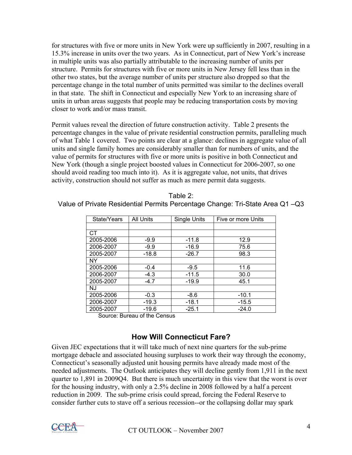for structures with five or more units in New York were up sufficiently in 2007, resulting in a 15.3% increase in units over the two years. As in Connecticut, part of New York's increase in multiple units was also partially attributable to the increasing number of units per structure. Permits for structures with five or more units in New Jersey fell less than in the other two states, but the average number of units per structure also dropped so that the percentage change in the total number of units permitted was similar to the declines overall in that state. The shift in Connecticut and especially New York to an increasing share of units in urban areas suggests that people may be reducing transportation costs by moving closer to work and/or mass transit.

Permit values reveal the direction of future construction activity. Table 2 presents the percentage changes in the value of private residential construction permits, paralleling much of what Table 1 covered. Two points are clear at a glance: declines in aggregate value of all units and single family homes are considerably smaller than for numbers of units, and the value of permits for structures with five or more units is positive in both Connecticut and New York (though a single project boosted values in Connecticut for 2006-2007, so one should avoid reading too much into it). As it is aggregate value, not units, that drives activity, construction should not suffer as much as mere permit data suggests.

| State/Years | <b>All Units</b> | Single Units | Five or more Units |  |
|-------------|------------------|--------------|--------------------|--|
|             |                  |              |                    |  |
| CТ          |                  |              |                    |  |
| 2005-2006   | $-9.9$           | $-11.8$      | 12.9               |  |
| 2006-2007   | $-9.9$           | $-16.9$      | 75.6               |  |
| 2005-2007   | $-18.8$          | $-26.7$      | 98.3               |  |
| NY          |                  |              |                    |  |
| 2005-2006   | $-0.4$           | $-9.5$       | 11.6               |  |
| 2006-2007   | $-4.3$           | $-11.5$      | 30.0               |  |
| 2005-2007   | $-4.7$           | $-19.9$      | 45.1               |  |
| NJ          |                  |              |                    |  |
| 2005-2006   | $-0.3$           | $-8.6$       | $-10.1$            |  |
| 2006-2007   | $-19.3$          | $-18.1$      | $-15.5$            |  |
| 2005-2007   | $-19.6$          | $-25.1$      | $-24.0$            |  |

Table 2:

Value of Private Residential Permits Percentage Change: Tri-State Area Q1 –Q3

Source: Bureau of the Census

## **How Will Connecticut Fare?**

Given JEC expectations that it will take much of next nine quarters for the sub-prime mortgage debacle and associated housing surpluses to work their way through the economy, Connecticut's seasonally adjusted unit housing permits have already made most of the needed adjustments. The Outlook anticipates they will decline gently from 1,911 in the next quarter to 1,891 in 2009Q4. But there is much uncertainty in this view that the worst is over for the housing industry, with only a 2.5% decline in 2008 followed by a half a percent reduction in 2009. The sub-prime crisis could spread, forcing the Federal Reserve to consider further cuts to stave off a serious recession--or the collapsing dollar may spark

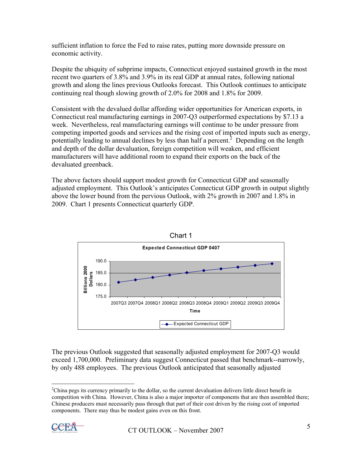sufficient inflation to force the Fed to raise rates, putting more downside pressure on economic activity.

Despite the ubiquity of subprime impacts, Connecticut enjoyed sustained growth in the most recent two quarters of 3.8% and 3.9% in its real GDP at annual rates, following national growth and along the lines previous Outlooks forecast. This Outlook continues to anticipate continuing real though slowing growth of 2.0% for 2008 and 1.8% for 2009.

Consistent with the devalued dollar affording wider opportunities for American exports, in Connecticut real manufacturing earnings in 2007-Q3 outperformed expectations by \$7.13 a week. Nevertheless, real manufacturing earnings will continue to be under pressure from competing imported goods and services and the rising cost of imported inputs such as energy, potentially leading to annual declines by less than half a percent.<sup>2</sup> Depending on the length and depth of the dollar devaluation, foreign competition will weaken, and efficient manufacturers will have additional room to expand their exports on the back of the devaluated greenback.

The above factors should support modest growth for Connecticut GDP and seasonally adjusted employment. This Outlook's anticipates Connecticut GDP growth in output slightly above the lower bound from the pervious Outlook, with 2% growth in 2007 and 1.8% in 2009. Chart 1 presents Connecticut quarterly GDP.





 $2$ China pegs its currency primarily to the dollar, so the current devaluation delivers little direct benefit in competition with China. However, China is also a major importer of components that are then assembled there; Chinese producers must necessarily pass through that part of their cost driven by the rising cost of imported components. There may thus be modest gains even on this front.



 $\overline{a}$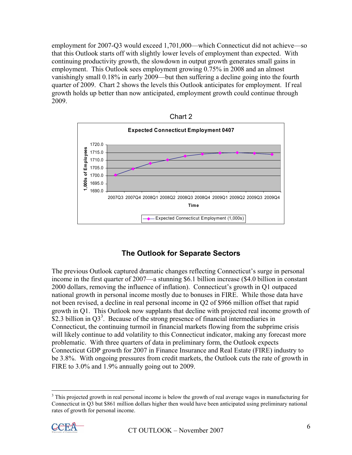employment for 2007-Q3 would exceed 1,701,000—which Connecticut did not achieve—so that this Outlook starts off with slightly lower levels of employment than expected. With continuing productivity growth, the slowdown in output growth generates small gains in employment. This Outlook sees employment growing 0.75% in 2008 and an almost vanishingly small 0.18% in early 2009—but then suffering a decline going into the fourth quarter of 2009. Chart 2 shows the levels this Outlook anticipates for employment. If real growth holds up better than now anticipated, employment growth could continue through 2009.





## **The Outlook for Separate Sectors**

The previous Outlook captured dramatic changes reflecting Connecticut's surge in personal income in the first quarter of 2007—a stunning \$6.1 billion increase (\$4.0 billion in constant 2000 dollars, removing the influence of inflation). Connecticut's growth in Q1 outpaced national growth in personal income mostly due to bonuses in FIRE. While those data have not been revised, a decline in real personal income in Q2 of \$966 million offset that rapid growth in Q1. This Outlook now supplants that decline with projected real income growth of  $$2.3$  billion in Q3<sup>3</sup>. Because of the strong presence of financial intermediaries in Connecticut, the continuing turmoil in financial markets flowing from the subprime crisis will likely continue to add volatility to this Connecticut indicator, making any forecast more problematic. With three quarters of data in preliminary form, the Outlook expects Connecticut GDP growth for 2007 in Finance Insurance and Real Estate (FIRE) industry to be 3.8%. With ongoing pressures from credit markets, the Outlook cuts the rate of growth in FIRE to 3.0% and 1.9% annually going out to 2009.

<sup>&</sup>lt;sup>3</sup> This projected growth in real personal income is below the growth of real average wages in manufacturing for Connecticut in Q3 but \$861 million dollars higher then would have been anticipated using preliminary national rates of growth for personal income.



 $\overline{a}$